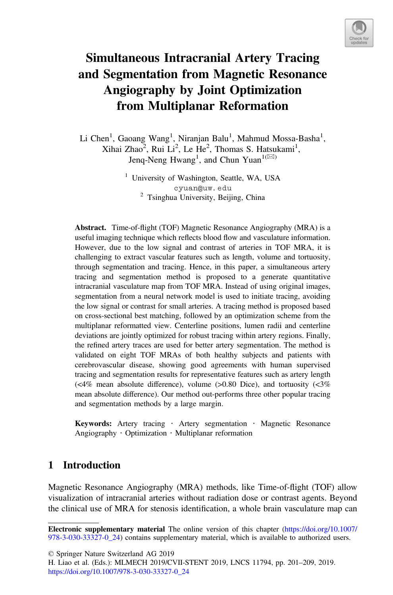

# Simultaneous Intracranial Artery Tracing and Segmentation from Magnetic Resonance Angiography by Joint Optimization from Multiplanar Reformation

Li Chen<sup>1</sup>, Gaoang Wang<sup>1</sup>, Niranjan Balu<sup>1</sup>, Mahmud Mossa-Basha<sup>1</sup>, Xihai Zhao<sup>2</sup>, Rui Li<sup>2</sup>, Le He<sup>2</sup>, Thomas S. Hatsukami<sup>1</sup>, Jenq-Neng Hwang<sup>1</sup>, and Chun Yuan<sup>1( $\boxtimes$ )</sup>

> <sup>1</sup> University of Washington, Seattle, WA, USA cyuan@uw.edu <sup>2</sup> Tsinghua University, Beijing, China

Abstract. Time-of-flight (TOF) Magnetic Resonance Angiography (MRA) is a useful imaging technique which reflects blood flow and vasculature information. However, due to the low signal and contrast of arteries in TOF MRA, it is challenging to extract vascular features such as length, volume and tortuosity, through segmentation and tracing. Hence, in this paper, a simultaneous artery tracing and segmentation method is proposed to a generate quantitative intracranial vasculature map from TOF MRA. Instead of using original images, segmentation from a neural network model is used to initiate tracing, avoiding the low signal or contrast for small arteries. A tracing method is proposed based on cross-sectional best matching, followed by an optimization scheme from the multiplanar reformatted view. Centerline positions, lumen radii and centerline deviations are jointly optimized for robust tracing within artery regions. Finally, the refined artery traces are used for better artery segmentation. The method is validated on eight TOF MRAs of both healthy subjects and patients with cerebrovascular disease, showing good agreements with human supervised tracing and segmentation results for representative features such as artery length ( $\leq 4\%$  mean absolute difference), volume ( $> 0.80$  Dice), and tortuosity ( $\leq 3\%$ mean absolute difference). Our method out-performs three other popular tracing and segmentation methods by a large margin.

Keywords: Artery tracing · Artery segmentation · Magnetic Resonance Angiography  $\cdot$  Optimization  $\cdot$  Multiplanar reformation

# 1 Introduction

Magnetic Resonance Angiography (MRA) methods, like Time-of-flight (TOF) allow visualization of intracranial arteries without radiation dose or contrast agents. Beyond the clinical use of MRA for stenosis identification, a whole brain vasculature map can

Electronic supplementary material The online version of this chapter ([https://doi.org/10.1007/](http://dx.doi.org/10.1007/978-3-030-33327-0_24) [978-3-030-33327-0\\_24](http://dx.doi.org/10.1007/978-3-030-33327-0_24)) contains supplementary material, which is available to authorized users.

<sup>©</sup> Springer Nature Switzerland AG 2019

H. Liao et al. (Eds.): MLMECH 2019/CVII-STENT 2019, LNCS 11794, pp. 201–209, 2019. [https://doi.org/10.1007/978-3-030-33327-0\\_24](https://doi.org/10.1007/978-3-030-33327-0_24)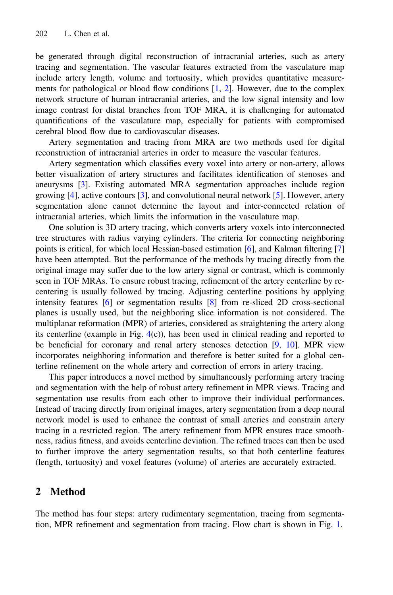be generated through digital reconstruction of intracranial arteries, such as artery tracing and segmentation. The vascular features extracted from the vasculature map include artery length, volume and tortuosity, which provides quantitative measurements for pathological or blood flow conditions  $[1, 2]$  $[1, 2]$  $[1, 2]$  $[1, 2]$ . However, due to the complex network structure of human intracranial arteries, and the low signal intensity and low image contrast for distal branches from TOF MRA, it is challenging for automated quantifications of the vasculature map, especially for patients with compromised cerebral blood flow due to cardiovascular diseases.

Artery segmentation and tracing from MRA are two methods used for digital reconstruction of intracranial arteries in order to measure the vascular features.

Artery segmentation which classifies every voxel into artery or non-artery, allows better visualization of artery structures and facilitates identification of stenoses and aneurysms [\[3](#page-7-0)]. Existing automated MRA segmentation approaches include region growing [\[4](#page-7-0)], active contours [[3\]](#page-7-0), and convolutional neural network [\[5](#page-7-0)]. However, artery segmentation alone cannot determine the layout and inter-connected relation of intracranial arteries, which limits the information in the vasculature map.

One solution is 3D artery tracing, which converts artery voxels into interconnected tree structures with radius varying cylinders. The criteria for connecting neighboring points is critical, for which local Hessian-based estimation [\[6](#page-7-0)], and Kalman filtering [\[7](#page-7-0)] have been attempted. But the performance of the methods by tracing directly from the original image may suffer due to the low artery signal or contrast, which is commonly seen in TOF MRAs. To ensure robust tracing, refinement of the artery centerline by recentering is usually followed by tracing. Adjusting centerline positions by applying intensity features [[6\]](#page-7-0) or segmentation results [[8\]](#page-7-0) from re-sliced 2D cross-sectional planes is usually used, but the neighboring slice information is not considered. The multiplanar reformation (MPR) of arteries, considered as straightening the artery along its centerline (example in Fig.  $4(c)$  $4(c)$ ), has been used in clinical reading and reported to be beneficial for coronary and renal artery stenoses detection [\[9](#page-7-0), [10\]](#page-7-0). MPR view incorporates neighboring information and therefore is better suited for a global centerline refinement on the whole artery and correction of errors in artery tracing.

This paper introduces a novel method by simultaneously performing artery tracing and segmentation with the help of robust artery refinement in MPR views. Tracing and segmentation use results from each other to improve their individual performances. Instead of tracing directly from original images, artery segmentation from a deep neural network model is used to enhance the contrast of small arteries and constrain artery tracing in a restricted region. The artery refinement from MPR ensures trace smoothness, radius fitness, and avoids centerline deviation. The refined traces can then be used to further improve the artery segmentation results, so that both centerline features (length, tortuosity) and voxel features (volume) of arteries are accurately extracted.

# 2 Method

The method has four steps: artery rudimentary segmentation, tracing from segmentation, MPR refinement and segmentation from tracing. Flow chart is shown in Fig. [1.](#page-2-0)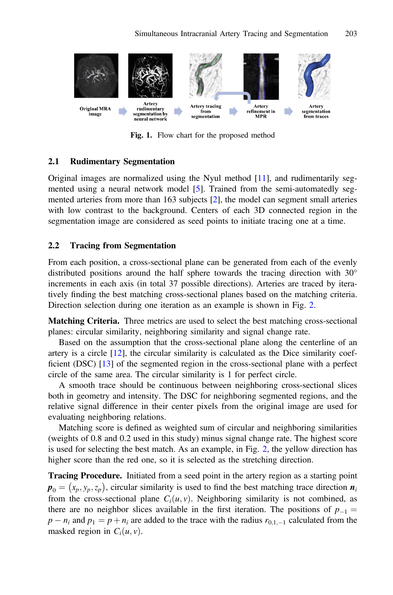<span id="page-2-0"></span>

Fig. 1. Flow chart for the proposed method

## 2.1 Rudimentary Segmentation

Original images are normalized using the Nyul method [\[11](#page-8-0)], and rudimentarily segmented using a neural network model [\[5](#page-7-0)]. Trained from the semi-automatedly segmented arteries from more than 163 subjects [\[2](#page-7-0)], the model can segment small arteries with low contrast to the background. Centers of each 3D connected region in the segmentation image are considered as seed points to initiate tracing one at a time.

## 2.2 Tracing from Segmentation

From each position, a cross-sectional plane can be generated from each of the evenly distributed positions around the half sphere towards the tracing direction with 30° increments in each axis (in total 37 possible directions). Arteries are traced by iteratively finding the best matching cross-sectional planes based on the matching criteria. Direction selection during one iteration as an example is shown in Fig. [2.](#page-3-0)

Matching Criteria. Three metrics are used to select the best matching cross-sectional planes: circular similarity, neighboring similarity and signal change rate.

Based on the assumption that the cross-sectional plane along the centerline of an artery is a circle [\[12](#page-8-0)], the circular similarity is calculated as the Dice similarity coefficient (DSC) [[13\]](#page-8-0) of the segmented region in the cross-sectional plane with a perfect circle of the same area. The circular similarity is 1 for perfect circle.

A smooth trace should be continuous between neighboring cross-sectional slices both in geometry and intensity. The DSC for neighboring segmented regions, and the relative signal difference in their center pixels from the original image are used for evaluating neighboring relations.

Matching score is defined as weighted sum of circular and neighboring similarities (weights of 0.8 and 0.2 used in this study) minus signal change rate. The highest score is used for selecting the best match. As an example, in Fig. [2,](#page-3-0) the yellow direction has higher score than the red one, so it is selected as the stretching direction.

Tracing Procedure. Initiated from a seed point in the artery region as a starting point  $\mathbf{p}_0 = (x_p, y_p, z_p)$ , circular similarity is used to find the best matching trace direction  $\mathbf{n}_i$ from the cross-sectional plane  $C_i(u, v)$ . Neighboring similarity is not combined, as there are no neighbor slices available in the first iteration. The positions of  $p_{-1} =$  $p - n_i$  and  $p_1 = p + n_i$  are added to the trace with the radius  $r_{0,1,-1}$  calculated from the masked region in  $C_i(u, v)$ .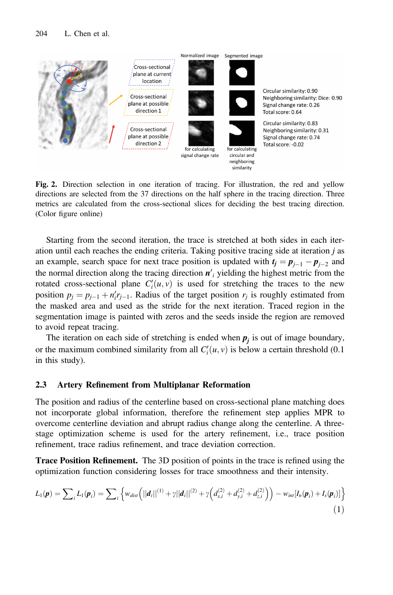<span id="page-3-0"></span>

Fig. 2. Direction selection in one iteration of tracing. For illustration, the red and yellow directions are selected from the 37 directions on the half sphere in the tracing direction. Three metrics are calculated from the cross-sectional slices for deciding the best tracing direction. (Color figure online)

Starting from the second iteration, the trace is stretched at both sides in each iteration until each reaches the ending criteria. Taking positive tracing side at iteration j as an example, search space for next trace position is updated with  $t_j = p_{j-1} - p_{j-2}$  and the normal direction along the tracing direction  $n'_i$  yielding the highest metric from the rotated cross-sectional plane  $C_i(u, v)$  is used for stretching the traces to the new position  $p_j = p_{j-1} + n'_i r_{j-1}$ . Radius of the target position  $r_j$  is roughly estimated from the masked area and used as the stride for the next iteration. Traced region in the segmentation image is painted with zeros and the seeds inside the region are removed to avoid repeat tracing.

The iteration on each side of stretching is ended when  $p_i$  is out of image boundary, or the maximum combined similarity from all  $C_i'(u, v)$  is below a certain threshold (0.1) in this study).

### 2.3 Artery Refinement from Multiplanar Reformation

The position and radius of the centerline based on cross-sectional plane matching does not incorporate global information, therefore the refinement step applies MPR to overcome centerline deviation and abrupt radius change along the centerline. A threestage optimization scheme is used for the artery refinement, i.e., trace position refinement, trace radius refinement, and trace deviation correction.

Trace Position Refinement. The 3D position of points in the trace is refined using the optimization function considering losses for trace smoothness and their intensity.

$$
L_1(\boldsymbol{p}) = \sum_i L_1(\boldsymbol{p}_i) = \sum_i \left\{ w_{dist} \left( ||\boldsymbol{d}_i||^{(1)} + \gamma ||\boldsymbol{d}_i||^{(2)} + \gamma \left( d_{x,i}^{(2)} + d_{y,i}^{(2)} + d_{z,i}^{(2)} \right) \right) - w_{int}[I_n(\boldsymbol{p}_i) + I_s(\boldsymbol{p}_i)] \right\}
$$
(1)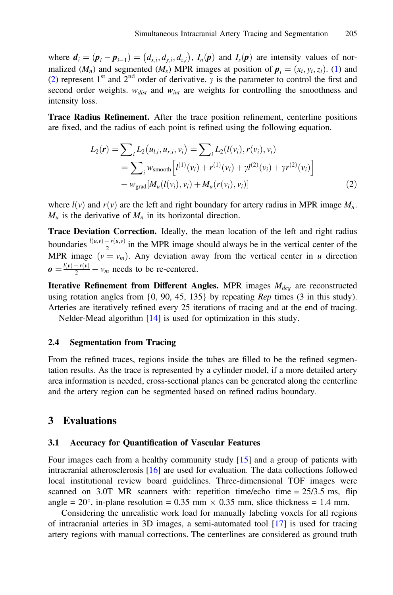where  $\mathbf{d}_i = (\mathbf{p}_i - \mathbf{p}_{i-1}) = (d_{x,i}, d_{y,i}, d_{z,i}), I_n(\mathbf{p})$  and  $I_s(\mathbf{p})$  are intensity values of normalized  $(M_n)$  and segmented  $(M_s)$  MPR images at position of  $p_i = (x_i, y_i, z_i)$ . ([1\)](#page-3-0) and (2) represent  $1<sup>st</sup>$  and  $2<sup>nd</sup>$  order of derivative.  $\gamma$  is the parameter to control the first and second order weights.  $w_{dist}$  and  $w_{int}$  are weights for controlling the smoothness and intensity loss.

Trace Radius Refinement. After the trace position refinement, centerline positions are fixed, and the radius of each point is refined using the following equation.

$$
L_2(\mathbf{r}) = \sum_i L_2(u_{l,i}, u_{r,i}, v_i) = \sum_i L_2(l(v_i), r(v_i), v_i)
$$
  
= 
$$
\sum_i w_{\text{smooth}} \left[ l^{(1)}(v_i) + r^{(1)}(v_i) + \gamma l^{(2)}(v_i) + \gamma r^{(2)}(v_i) \right]
$$
  
- 
$$
w_{\text{grad}}[M_u(l(v_i), v_i) + M_u(r(v_i), v_i)]
$$
 (2)

where  $l(v)$  and  $r(v)$  are the left and right boundary for artery radius in MPR image  $M_n$ .  $M_u$  is the derivative of  $M_n$  in its horizontal direction.

Trace Deviation Correction. Ideally, the mean location of the left and right radius boundaries  $\frac{l(u,v) + r(u,v)}{2}$  in the MPR image should always be in the vertical center of the MPR image  $(v = v_m)$ . Any deviation away from the vertical center in u direction  $\boldsymbol{o} = \frac{l(v) + r(v)}{2} - v_m$  needs to be re-centered.

Iterative Refinement from Different Angles. MPR images  $M_{deg}$  are reconstructed using rotation angles from {0, 90, 45, 135} by repeating Rep times (3 in this study). Arteries are iteratively refined every 25 iterations of tracing and at the end of tracing.

Nelder-Mead algorithm [[14\]](#page-8-0) is used for optimization in this study.

#### 2.4 Segmentation from Tracing

From the refined traces, regions inside the tubes are filled to be the refined segmentation results. As the trace is represented by a cylinder model, if a more detailed artery area information is needed, cross-sectional planes can be generated along the centerline and the artery region can be segmented based on refined radius boundary.

# 3 Evaluations

#### 3.1 Accuracy for Quantification of Vascular Features

Four images each from a healthy community study [[15\]](#page-8-0) and a group of patients with intracranial atherosclerosis [[16\]](#page-8-0) are used for evaluation. The data collections followed local institutional review board guidelines. Three-dimensional TOF images were scanned on  $3.0T$  MR scanners with: repetition time/echo time =  $25/3.5$  ms, flip angle =  $20^{\circ}$ , in-plane resolution = 0.35 mm  $\times$  0.35 mm, slice thickness = 1.4 mm.

Considering the unrealistic work load for manually labeling voxels for all regions of intracranial arteries in 3D images, a semi-automated tool [\[17](#page-8-0)] is used for tracing artery regions with manual corrections. The centerlines are considered as ground truth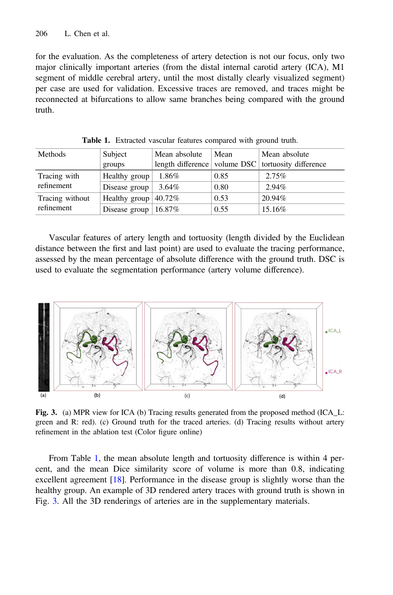<span id="page-5-0"></span>for the evaluation. As the completeness of artery detection is not our focus, only two major clinically important arteries (from the distal internal carotid artery (ICA), M1 segment of middle cerebral artery, until the most distally clearly visualized segment) per case are used for validation. Excessive traces are removed, and traces might be reconnected at bifurcations to allow same branches being compared with the ground truth.

| Methods                    | Subject                   | Mean absolute                  | Mean | Mean absolute         |
|----------------------------|---------------------------|--------------------------------|------|-----------------------|
|                            | groups                    | length difference   volume DSC |      | tortuosity difference |
| Tracing with<br>refinement | Healthy group             | 1.86%                          | 0.85 | 2.75%                 |
|                            | Disease group $\vert$     | $3.64\%$                       | 0.80 | $2.94\%$              |
| Tracing without            | Healthy group             | 40.72%                         | 0.53 | 20.94%                |
| refinement                 | Disease group   $16.87\%$ |                                | 0.55 | 15.16%                |

Table 1. Extracted vascular features compared with ground truth.

Vascular features of artery length and tortuosity (length divided by the Euclidean distance between the first and last point) are used to evaluate the tracing performance, assessed by the mean percentage of absolute difference with the ground truth. DSC is used to evaluate the segmentation performance (artery volume difference).



Fig. 3. (a) MPR view for ICA (b) Tracing results generated from the proposed method (ICA\_L: green and R: red). (c) Ground truth for the traced arteries. (d) Tracing results without artery refinement in the ablation test (Color figure online)

From Table 1, the mean absolute length and tortuosity difference is within 4 percent, and the mean Dice similarity score of volume is more than 0.8, indicating excellent agreement [\[18](#page-8-0)]. Performance in the disease group is slightly worse than the healthy group. An example of 3D rendered artery traces with ground truth is shown in Fig. 3. All the 3D renderings of arteries are in the supplementary materials.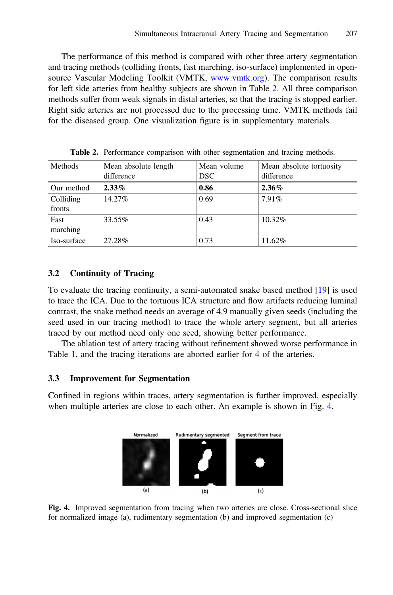<span id="page-6-0"></span>The performance of this method is compared with other three artery segmentation and tracing methods (colliding fronts, fast marching, iso-surface) implemented in opensource Vascular Modeling Toolkit (VMTK, [www.vmtk.org\)](http://www.vmtk.org). The comparison results for left side arteries from healthy subjects are shown in Table 2. All three comparison methods suffer from weak signals in distal arteries, so that the tracing is stopped earlier. Right side arteries are not processed due to the processing time. VMTK methods fail for the diseased group. One visualization figure is in supplementary materials.

| Methods             | Mean absolute length<br>difference | Mean volume<br><b>DSC</b> | Mean absolute tortuosity<br>difference |
|---------------------|------------------------------------|---------------------------|----------------------------------------|
| Our method          | $2.33\%$                           | 0.86                      | $2.36\%$                               |
| Colliding<br>fronts | 14.27%                             | 0.69                      | 7.91%                                  |
| Fast<br>marching    | 33.55%                             | 0.43                      | 10.32%                                 |
| Iso-surface         | 27.28%                             | 0.73                      | 11.62%                                 |

Table 2. Performance comparison with other segmentation and tracing methods.

## 3.2 Continuity of Tracing

To evaluate the tracing continuity, a semi-automated snake based method [[19\]](#page-8-0) is used to trace the ICA. Due to the tortuous ICA structure and flow artifacts reducing luminal contrast, the snake method needs an average of 4.9 manually given seeds (including the seed used in our tracing method) to trace the whole artery segment, but all arteries traced by our method need only one seed, showing better performance.

The ablation test of artery tracing without refinement showed worse performance in Table [1,](#page-5-0) and the tracing iterations are aborted earlier for 4 of the arteries.

## 3.3 Improvement for Segmentation

Confined in regions within traces, artery segmentation is further improved, especially when multiple arteries are close to each other. An example is shown in Fig. 4.



Fig. 4. Improved segmentation from tracing when two arteries are close. Cross-sectional slice for normalized image (a), rudimentary segmentation (b) and improved segmentation (c)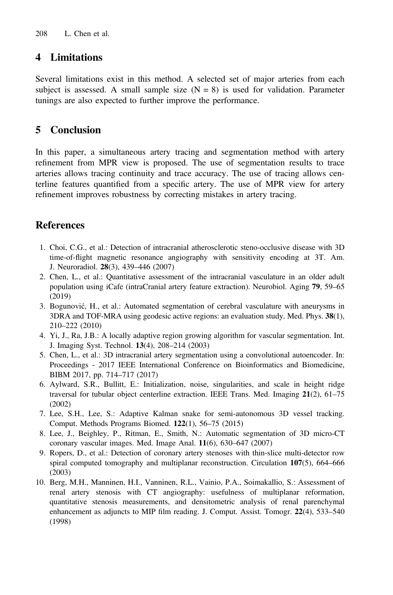# <span id="page-7-0"></span>4 Limitations

Several limitations exist in this method. A selected set of major arteries from each subject is assessed. A small sample size  $(N = 8)$  is used for validation. Parameter tunings are also expected to further improve the performance.

# 5 Conclusion

In this paper, a simultaneous artery tracing and segmentation method with artery refinement from MPR view is proposed. The use of segmentation results to trace arteries allows tracing continuity and trace accuracy. The use of tracing allows centerline features quantified from a specific artery. The use of MPR view for artery refinement improves robustness by correcting mistakes in artery tracing.

# References

- 1. Choi, C.G., et al.: Detection of intracranial atherosclerotic steno-occlusive disease with 3D time-of-flight magnetic resonance angiography with sensitivity encoding at 3T. Am. J. Neuroradiol. 28(3), 439–446 (2007)
- 2. Chen, L., et al.: Quantitative assessment of the intracranial vasculature in an older adult population using iCafe (intraCranial artery feature extraction). Neurobiol. Aging 79, 59–65 (2019)
- 3. Bogunović, H., et al.: Automated segmentation of cerebral vasculature with aneurysms in 3DRA and TOF-MRA using geodesic active regions: an evaluation study. Med. Phys. 38(1), 210–222 (2010)
- 4. Yi, J., Ra, J.B.: A locally adaptive region growing algorithm for vascular segmentation. Int. J. Imaging Syst. Technol. 13(4), 208–214 (2003)
- 5. Chen, L., et al.: 3D intracranial artery segmentation using a convolutional autoencoder. In: Proceedings - 2017 IEEE International Conference on Bioinformatics and Biomedicine, BIBM 2017, pp. 714–717 (2017)
- 6. Aylward, S.R., Bullitt, E.: Initialization, noise, singularities, and scale in height ridge traversal for tubular object centerline extraction. IEEE Trans. Med. Imaging 21(2), 61–75 (2002)
- 7. Lee, S.H., Lee, S.: Adaptive Kalman snake for semi-autonomous 3D vessel tracking. Comput. Methods Programs Biomed. 122(1), 56–75 (2015)
- 8. Lee, J., Beighley, P., Ritman, E., Smith, N.: Automatic segmentation of 3D micro-CT coronary vascular images. Med. Image Anal. 11(6), 630–647 (2007)
- 9. Ropers, D., et al.: Detection of coronary artery stenoses with thin-slice multi-detector row spiral computed tomography and multiplanar reconstruction. Circulation 107(5), 664–666 (2003)
- 10. Berg, M.H., Manninen, H.I., Vanninen, R.L., Vainio, P.A., Soimakallio, S.: Assessment of renal artery stenosis with CT angiography: usefulness of multiplanar reformation, quantitative stenosis measurements, and densitometric analysis of renal parenchymal enhancement as adjuncts to MIP film reading. J. Comput. Assist. Tomogr. 22(4), 533–540 (1998)